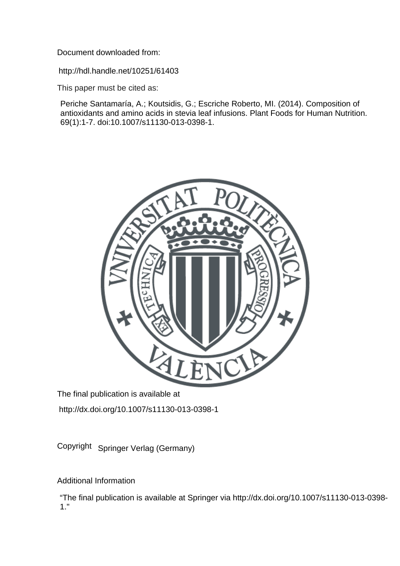Document downloaded from:

http://hdl.handle.net/10251/61403

This paper must be cited as:

Periche Santamaría, A.; Koutsidis, G.; Escriche Roberto, MI. (2014). Composition of antioxidants and amino acids in stevia leaf infusions. Plant Foods for Human Nutrition. 69(1):1-7. doi:10.1007/s11130-013-0398-1.



The final publication is available at

http://dx.doi.org/10.1007/s11130-013-0398-1

Copyright Springer Verlag (Germany)

Additional Information

"The final publication is available at Springer via http://dx.doi.org/10.1007/s11130-013-0398- 1."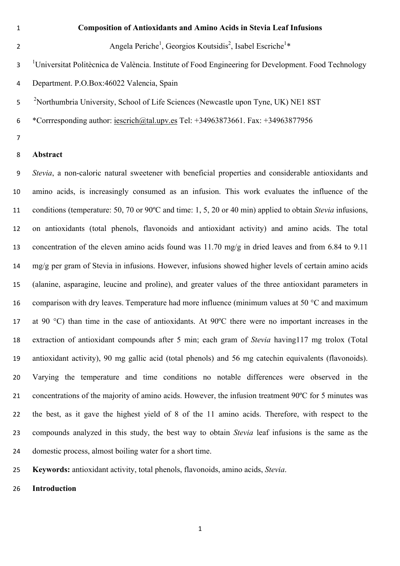# **Composition of Antioxidants and Amino Acids in Stevia Leaf Infusions**

2 Angela Periche<sup>1</sup>, Georgios Koutsidis<sup>2</sup>, Isabel Escriche<sup>1</sup>\*

- <sup>1</sup> Universitat Politècnica de València. Institute of Food Engineering for Development. Food Technology
- Department. P.O.Box:46022 Valencia, Spain
- <sup>2</sup> Northumbria University, School of Life Sciences (Newcastle upon Tyne, UK) NE1 8ST
- \*Corrresponding author: iescrich@tal.upv.es Tel: +34963873661. Fax: +34963877956
- 

#### **Abstract**

 *Stevia*, a non-caloric natural sweetener with beneficial properties and considerable antioxidants and amino acids, is increasingly consumed as an infusion. This work evaluates the influence of the conditions (temperature: 50, 70 or 90ºC and time: 1, 5, 20 or 40 min) applied to obtain *Stevia* infusions, on antioxidants (total phenols, flavonoids and antioxidant activity) and amino acids. The total concentration of the eleven amino acids found was 11.70 mg/g in dried leaves and from 6.84 to 9.11 mg/g per gram of Stevia in infusions. However, infusions showed higher levels of certain amino acids (alanine, asparagine, leucine and proline), and greater values of the three antioxidant parameters in 16 comparison with dry leaves. Temperature had more influence (minimum values at 50 °C and maximum at 90 °C) than time in the case of antioxidants. At 90ºC there were no important increases in the extraction of antioxidant compounds after 5 min; each gram of *Stevia* having117 mg trolox (Total antioxidant activity), 90 mg gallic acid (total phenols) and 56 mg catechin equivalents (flavonoids). Varying the temperature and time conditions no notable differences were observed in the concentrations of the majority of amino acids. However, the infusion treatment 90ºC for 5 minutes was the best, as it gave the highest yield of 8 of the 11 amino acids. Therefore, with respect to the compounds analyzed in this study, the best way to obtain *Stevia* leaf infusions is the same as the domestic process, almost boiling water for a short time.

**Keywords:** antioxidant activity, total phenols, flavonoids, amino acids, *Stevia*.

**Introduction**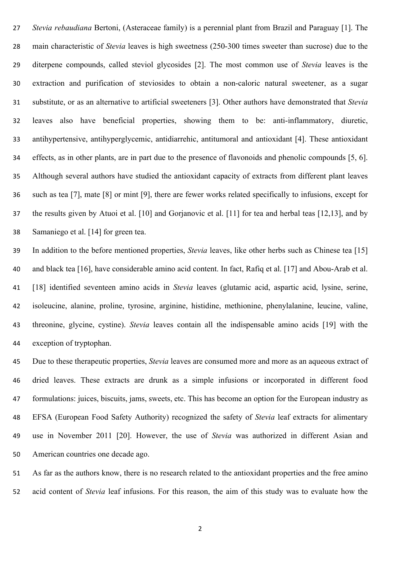*Stevia rebaudiana* Bertoni, (Asteraceae family) is a perennial plant from Brazil and Paraguay [1]. The main characteristic of *Stevia* leaves is high sweetness (250-300 times sweeter than sucrose) due to the diterpene compounds, called steviol glycosides [2]. The most common use of *Stevia* leaves is the extraction and purification of steviosides to obtain a non-caloric natural sweetener, as a sugar substitute, or as an alternative to artificial sweeteners [3]. Other authors have demonstrated that *Stevia* leaves also have beneficial properties, showing them to be: anti-inflammatory, diuretic, antihypertensive, antihyperglycemic, antidiarrehic, antitumoral and antioxidant [4]. These antioxidant effects, as in other plants, are in part due to the presence of flavonoids and phenolic compounds [5, 6]. Although several authors have studied the antioxidant capacity of extracts from different plant leaves such as tea [7], mate [8] or mint [9], there are fewer works related specifically to infusions, except for the results given by Atuoi et al. [10] and Gorjanovic et al. [11] for tea and herbal teas [12,13], and by Samaniego et al. [14] for green tea.

 In addition to the before mentioned properties, *Stevia* leaves, like other herbs such as Chinese tea [15] and black tea [16], have considerable amino acid content. In fact, Rafiq et al. [17] and Abou-Arab et al. [18] identified seventeen amino acids in *Stevia* leaves (glutamic acid, aspartic acid, lysine, serine, isoleucine, alanine, proline, tyrosine, arginine, histidine, methionine, phenylalanine, leucine, valine, threonine, glycine, cystine). *Stevia* leaves contain all the indispensable amino acids [19] with the exception of tryptophan.

 Due to these therapeutic properties, *Stevia* leaves are consumed more and more as an aqueous extract of dried leaves. These extracts are drunk as a simple infusions or incorporated in different food formulations: juices, biscuits, jams, sweets, etc. This has become an option for the European industry as EFSA (European Food Safety Authority) recognized the safety of *Stevia* leaf extracts for alimentary use in November 2011 [20]. However, the use of *Stevia* was authorized in different Asian and American countries one decade ago.

 As far as the authors know, there is no research related to the antioxidant properties and the free amino acid content of *Stevia* leaf infusions. For this reason, the aim of this study was to evaluate how the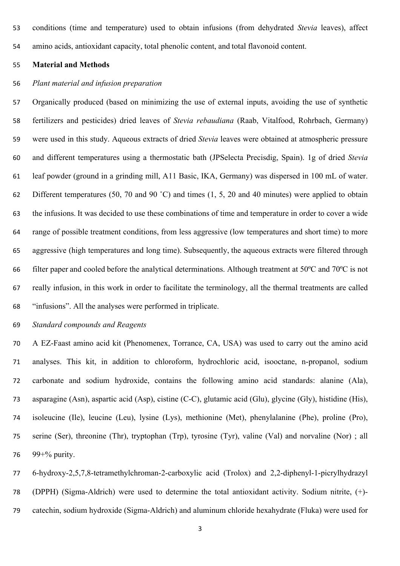conditions (time and temperature) used to obtain infusions (from dehydrated *Stevia* leaves), affect amino acids, antioxidant capacity, total phenolic content, and total flavonoid content.

#### **Material and Methods**

## *Plant material and infusion preparation*

 Organically produced (based on minimizing the use of external inputs, avoiding the use of synthetic fertilizers and pesticides) dried leaves of *Stevia rebaudiana* (Raab, Vitalfood, Rohrbach, Germany) were used in this study. Aqueous extracts of dried *Stevia* leaves were obtained at atmospheric pressure and different temperatures using a thermostatic bath (JPSelecta Precisdig, Spain). 1g of dried *Stevia* leaf powder (ground in a grinding mill, A11 Basic, IKA, Germany) was dispersed in 100 mL of water. Different temperatures (50, 70 and 90 ˚C) and times (1, 5, 20 and 40 minutes) were applied to obtain the infusions. It was decided to use these combinations of time and temperature in order to cover a wide range of possible treatment conditions, from less aggressive (low temperatures and short time) to more aggressive (high temperatures and long time). Subsequently, the aqueous extracts were filtered through filter paper and cooled before the analytical determinations. Although treatment at 50ºC and 70ºC is not really infusion, in this work in order to facilitate the terminology, all the thermal treatments are called "infusions". All the analyses were performed in triplicate.

*Standard compounds and Reagents* 

 A EZ-Faast amino acid kit (Phenomenex, Torrance, CA, USA) was used to carry out the amino acid analyses. This kit, in addition to chloroform, hydrochloric acid, isooctane, n-propanol, sodium carbonate and sodium hydroxide, contains the following amino acid standards: alanine (Ala), asparagine (Asn), aspartic acid (Asp), cistine (C-C), glutamic acid (Glu), glycine (Gly), histidine (His), isoleucine (Ile), leucine (Leu), lysine (Lys), methionine (Met), phenylalanine (Phe), proline (Pro), serine (Ser), threonine (Thr), tryptophan (Trp), tyrosine (Tyr), valine (Val) and norvaline (Nor) ; all  $99^{+9}$  purity.

 6-hydroxy-2,5,7,8-tetramethylchroman-2-carboxylic acid (Trolox) and 2,2-diphenyl-1-picrylhydrazyl (DPPH) (Sigma-Aldrich) were used to determine the total antioxidant activity. Sodium nitrite, (+)- catechin, sodium hydroxide (Sigma-Aldrich) and aluminum chloride hexahydrate (Fluka) were used for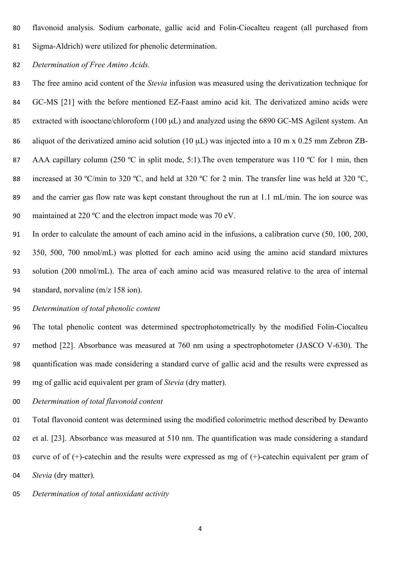- flavonoid analysis. Sodium carbonate, gallic acid and Folin-Ciocalteu reagent (all purchased from Sigma-Aldrich) were utilized for phenolic determination.
- *Determination of Free Amino Acids.*

 The free amino acid content of the *Stevia* infusion was measured using the derivatization technique for GC-MS [21] with the before mentioned EZ-Faast amino acid kit. The derivatized amino acids were 85 extracted with isooctane/chloroform (100 µL) and analyzed using the 6890 GC-MS Agilent system. An 86 aliquot of the derivatized amino acid solution (10 µL) was injected into a 10 m x 0.25 mm Zebron ZB-87 AAA capillary column (250 °C in split mode, 5:1). The oven temperature was 110 °C for 1 min, then 88 increased at 30 °C/min to 320 °C, and held at 320 °C for 2 min. The transfer line was held at 320 °C, and the carrier gas flow rate was kept constant throughout the run at 1.1 mL/min. The ion source was maintained at 220 ºC and the electron impact mode was 70 eV.

- In order to calculate the amount of each amino acid in the infusions, a calibration curve (50, 100, 200, 350, 500, 700 nmol/mL) was plotted for each amino acid using the amino acid standard mixtures solution (200 nmol/mL). The area of each amino acid was measured relative to the area of internal standard, norvaline (m/z 158 ion).
- *Determination of total phenolic content*

 The total phenolic content was determined spectrophotometrically by the modified Folin-Ciocalteu method [22]. Absorbance was measured at 760 nm using a spectrophotometer (JASCO V-630). The quantification was made considering a standard curve of gallic acid and the results were expressed as mg of gallic acid equivalent per gram of *Stevia* (dry matter)*.*

*Determination of total flavonoid content*

 Total flavonoid content was determined using the modified colorimetric method described by Dewanto et al. [23]. Absorbance was measured at 510 nm. The quantification was made considering a standard 03 curve of of  $(+)$ -catechin and the results were expressed as mg of  $(+)$ -catechin equivalent per gram of *Stevia* (dry matter)*.*

*Determination of total antioxidant activity*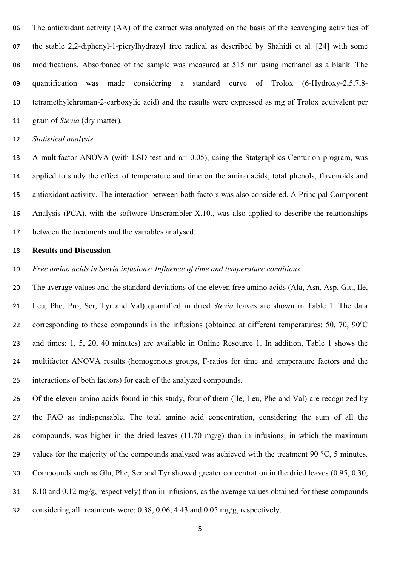The antioxidant activity (AA) of the extract was analyzed on the basis of the scavenging activities of the stable 2,2-diphenyl-1-picrylhydrazyl free radical as described by Shahidi et al*.* [24] with some modifications. Absorbance of the sample was measured at 515 nm using methanol as a blank. The quantification was made considering a standard curve of Trolox (6-Hydroxy-2,5,7,8- tetramethylchroman-2-carboxylic acid) and the results were expressed as mg of Trolox equivalent per gram of *Stevia* (dry matter)*.*

*Statistical analysis*

13 A multifactor ANOVA (with LSD test and  $\alpha$  = 0.05), using the Statgraphics Centurion program, was applied to study the effect of temperature and time on the amino acids, total phenols, flavonoids and antioxidant activity. The interaction between both factors was also considered. A Principal Component Analysis (PCA), with the software Unscrambler X.10., was also applied to describe the relationships between the treatments and the variables analysed.

# **Results and Discussion**

*Free amino acids in Stevia infusions: Influence of time and temperature conditions.*

 The average values and the standard deviations of the eleven free amino acids (Ala, Asn, Asp, Glu, Ile, Leu, Phe, Pro, Ser, Tyr and Val) quantified in dried *Stevia* leaves are shown in Table 1. The data corresponding to these compounds in the infusions (obtained at different temperatures: 50, 70, 90ºC and times: 1, 5, 20, 40 minutes) are available in Online Resource 1. In addition, Table 1 shows the multifactor ANOVA results (homogenous groups, F-ratios for time and temperature factors and the interactions of both factors) for each of the analyzed compounds.

 Of the eleven amino acids found in this study, four of them (Ile, Leu, Phe and Val) are recognized by the FAO as indispensable. The total amino acid concentration, considering the sum of all the compounds, was higher in the dried leaves (11.70 mg/g) than in infusions; in which the maximum 29 values for the majority of the compounds analyzed was achieved with the treatment 90 °C, 5 minutes. Compounds such as Glu, Phe, Ser and Tyr showed greater concentration in the dried leaves (0.95, 0.30, 8.10 and 0.12 mg/g, respectively) than in infusions, as the average values obtained for these compounds considering all treatments were: 0.38, 0.06, 4.43 and 0.05 mg/g, respectively.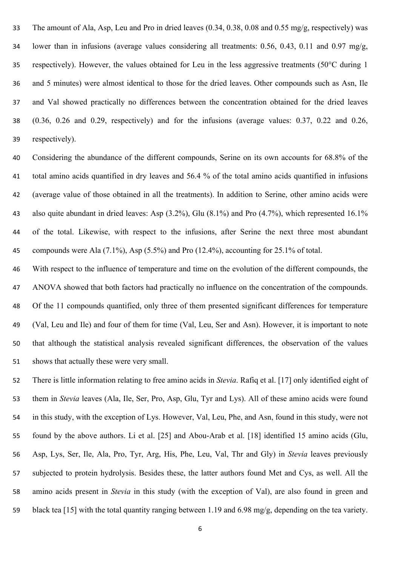The amount of Ala, Asp, Leu and Pro in dried leaves (0.34, 0.38, 0.08 and 0.55 mg/g, respectively) was lower than in infusions (average values considering all treatments: 0.56, 0.43, 0.11 and 0.97 mg/g, respectively). However, the values obtained for Leu in the less aggressive treatments (50°C during 1 and 5 minutes) were almost identical to those for the dried leaves. Other compounds such as Asn, Ile and Val showed practically no differences between the concentration obtained for the dried leaves (0.36, 0.26 and 0.29, respectively) and for the infusions (average values: 0.37, 0.22 and 0.26, respectively).

 Considering the abundance of the different compounds, Serine on its own accounts for 68.8% of the total amino acids quantified in dry leaves and 56.4 % of the total amino acids quantified in infusions (average value of those obtained in all the treatments). In addition to Serine, other amino acids were also quite abundant in dried leaves: Asp (3.2%), Glu (8.1%) and Pro (4.7%), which represented 16.1% of the total. Likewise, with respect to the infusions, after Serine the next three most abundant compounds were Ala (7.1%), Asp (5.5%) and Pro (12.4%), accounting for 25.1% of total.

 With respect to the influence of temperature and time on the evolution of the different compounds, the ANOVA showed that both factors had practically no influence on the concentration of the compounds. Of the 11 compounds quantified, only three of them presented significant differences for temperature (Val, Leu and Ile) and four of them for time (Val, Leu, Ser and Asn). However, it is important to note that although the statistical analysis revealed significant differences, the observation of the values shows that actually these were very small.

 There is little information relating to free amino acids in *Stevia*. Rafiq et al. [17] only identified eight of them in *Stevia* leaves (Ala, Ile, Ser, Pro, Asp, Glu, Tyr and Lys). All of these amino acids were found in this study, with the exception of Lys. However, Val, Leu, Phe, and Asn, found in this study, were not found by the above authors. Li et al. [25] and Abou-Arab et al. [18] identified 15 amino acids (Glu, Asp, Lys, Ser, Ile, Ala, Pro, Tyr, Arg, His, Phe, Leu, Val, Thr and Gly) in *Stevia* leaves previously subjected to protein hydrolysis. Besides these, the latter authors found Met and Cys, as well. All the amino acids present in *Stevia* in this study (with the exception of Val), are also found in green and black tea [15] with the total quantity ranging between 1.19 and 6.98 mg/g, depending on the tea variety.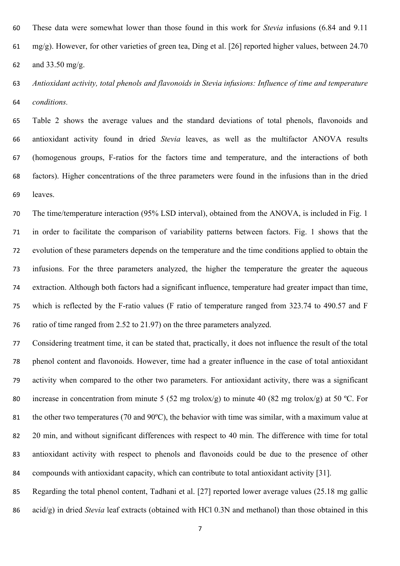These data were somewhat lower than those found in this work for *Stevia* infusions (6.84 and 9.11 mg/g). However, for other varieties of green tea, Ding et al. [26] reported higher values, between 24.70 and 33.50 mg/g.

 *Antioxidant activity, total phenols and flavonoids in Stevia infusions: Influence of time and temperature conditions.*

 Table 2 shows the average values and the standard deviations of total phenols, flavonoids and antioxidant activity found in dried *Stevia* leaves, as well as the multifactor ANOVA results (homogenous groups, F-ratios for the factors time and temperature, and the interactions of both factors). Higher concentrations of the three parameters were found in the infusions than in the dried leaves.

 The time/temperature interaction (95% LSD interval), obtained from the ANOVA, is included in Fig. 1 in order to facilitate the comparison of variability patterns between factors. Fig. 1 shows that the evolution of these parameters depends on the temperature and the time conditions applied to obtain the infusions. For the three parameters analyzed, the higher the temperature the greater the aqueous extraction. Although both factors had a significant influence, temperature had greater impact than time, which is reflected by the F-ratio values (F ratio of temperature ranged from 323.74 to 490.57 and F ratio of time ranged from 2.52 to 21.97) on the three parameters analyzed.

 Considering treatment time, it can be stated that, practically, it does not influence the result of the total phenol content and flavonoids. However, time had a greater influence in the case of total antioxidant activity when compared to the other two parameters. For antioxidant activity, there was a significant 80 increase in concentration from minute 5 (52 mg trolox/g) to minute 40 (82 mg trolox/g) at 50 °C. For the other two temperatures (70 and 90ºC), the behavior with time was similar, with a maximum value at 20 min, and without significant differences with respect to 40 min. The difference with time for total antioxidant activity with respect to phenols and flavonoids could be due to the presence of other compounds with antioxidant capacity, which can contribute to total antioxidant activity [31].

 Regarding the total phenol content, Tadhani et al. [27] reported lower average values (25.18 mg gallic acid/g) in dried *Stevia* leaf extracts (obtained with HCl 0.3N and methanol) than those obtained in this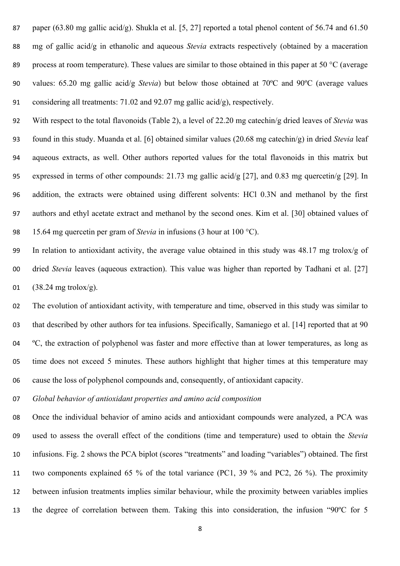paper (63.80 mg gallic acid/g). Shukla et al. [5, 27] reported a total phenol content of 56.74 and 61.50 mg of gallic acid/g in ethanolic and aqueous *Stevia* extracts respectively (obtained by a maceration 189 process at room temperature). These values are similar to those obtained in this paper at 50  $\degree$ C (average values: 65.20 mg gallic acid/g *Stevia*) but below those obtained at 70ºC and 90ºC (average values considering all treatments: 71.02 and 92.07 mg gallic acid/g), respectively.

 With respect to the total flavonoids (Table 2), a level of 22.20 mg catechin/g dried leaves of *Stevia* was found in this study. Muanda et al. [6] obtained similar values (20.68 mg catechin/g) in dried *Stevia* leaf aqueous extracts, as well. Other authors reported values for the total flavonoids in this matrix but expressed in terms of other compounds: 21.73 mg gallic acid/g [27], and 0.83 mg quercetin/g [29]. In addition, the extracts were obtained using different solvents: HCl 0.3N and methanol by the first authors and ethyl acetate extract and methanol by the second ones. Kim et al. [30] obtained values of 15.64 mg quercetin per gram of *Stevia* in infusions (3 hour at 100 °C).

 In relation to antioxidant activity, the average value obtained in this study was 48.17 mg trolox/g of dried *Stevia* leaves (aqueous extraction). This value was higher than reported by Tadhani et al. [27] 01  $(38.24 \text{ mg} \text{ trolox/g}).$ 

 The evolution of antioxidant activity, with temperature and time, observed in this study was similar to that described by other authors for tea infusions. Specifically, Samaniego et al. [14] reported that at 90 204 °C, the extraction of polyphenol was faster and more effective than at lower temperatures, as long as time does not exceed 5 minutes. These authors highlight that higher times at this temperature may cause the loss of polyphenol compounds and, consequently, of antioxidant capacity.

*Global behavior of antioxidant properties and amino acid composition* 

 Once the individual behavior of amino acids and antioxidant compounds were analyzed, a PCA was used to assess the overall effect of the conditions (time and temperature) used to obtain the *Stevia* infusions. Fig. 2 shows the PCA biplot (scores "treatments" and loading "variables") obtained. The first two components explained 65 % of the total variance (PC1, 39 % and PC2, 26 %). The proximity between infusion treatments implies similar behaviour, while the proximity between variables implies the degree of correlation between them. Taking this into consideration, the infusion "90ºC for 5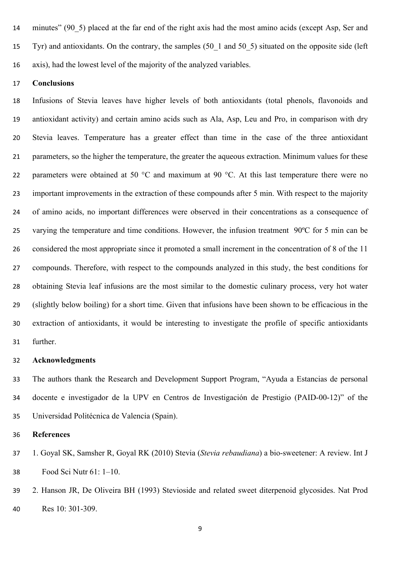minutes" (90\_5) placed at the far end of the right axis had the most amino acids (except Asp, Ser and Tyr) and antioxidants. On the contrary, the samples (50\_1 and 50\_5) situated on the opposite side (left axis), had the lowest level of the majority of the analyzed variables.

## **Conclusions**

 Infusions of Stevia leaves have higher levels of both antioxidants (total phenols, flavonoids and antioxidant activity) and certain amino acids such as Ala, Asp, Leu and Pro, in comparison with dry Stevia leaves. Temperature has a greater effect than time in the case of the three antioxidant parameters, so the higher the temperature, the greater the aqueous extraction. Minimum values for these 22 parameters were obtained at 50  $\degree$ C and maximum at 90  $\degree$ C. At this last temperature there were no important improvements in the extraction of these compounds after 5 min. With respect to the majority of amino acids, no important differences were observed in their concentrations as a consequence of varying the temperature and time conditions. However, the infusion treatment 90ºC for 5 min can be considered the most appropriate since it promoted a small increment in the concentration of 8 of the 11 compounds. Therefore, with respect to the compounds analyzed in this study, the best conditions for obtaining Stevia leaf infusions are the most similar to the domestic culinary process, very hot water (slightly below boiling) for a short time. Given that infusions have been shown to be efficacious in the extraction of antioxidants, it would be interesting to investigate the profile of specific antioxidants further.

#### **Acknowledgments**

 The authors thank the Research and Development Support Program, "Ayuda a Estancias de personal docente e investigador de la UPV en Centros de Investigación de Prestigio (PAID-00-12)" of the Universidad Politécnica de Valencia (Spain).

**References**

- 1. Goyal SK, Samsher R, Goyal RK (2010) Stevia (*Stevia rebaudiana*) a bio-sweetener: A review. Int J Food Sci Nutr 61: 1–10.
- 2. Hanson JR, De Oliveira BH (1993) Stevioside and related sweet diterpenoid glycosides. Nat Prod Res 10: 301-309.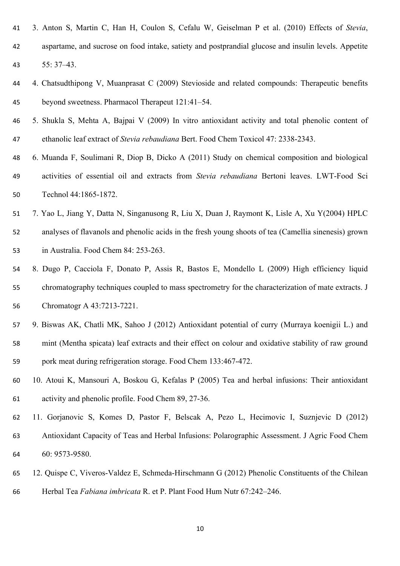- 3. Anton S, Martin C, Han H, Coulon S, Cefalu W, Geiselman P et al. (2010) Effects of *Stevia*, aspartame, and sucrose on food intake, satiety and postprandial glucose and insulin levels. Appetite 55: 37–43.
- 4. Chatsudthipong V, Muanprasat C (2009) Stevioside and related compounds: Therapeutic benefits beyond sweetness. Pharmacol Therapeut 121:41–54.
- 5. Shukla S, Mehta A, Bajpai V (2009) In vitro antioxidant activity and total phenolic content of ethanolic leaf extract of *Stevia rebaudiana* Bert. Food Chem Toxicol 47: 2338-2343.
- 6. Muanda F, Soulimani R, Diop B, Dicko A (2011) Study on chemical composition and biological activities of essential oil and extracts from *Stevia rebaudiana* Bertoni leaves. LWT-Food Sci Technol 44:1865-1872.
- 7. Yao L, Jiang Y, Datta N, Singanusong R, Liu X, Duan J, Raymont K, Lisle A, Xu Y(2004) HPLC
- analyses of flavanols and phenolic acids in the fresh young shoots of tea (Camellia sinenesis) grown in Australia. Food Chem 84: 253-263.
- 8. Dugo P, Cacciola F, Donato P, Assis R, Bastos E, Mondello L (2009) High efficiency liquid chromatography techniques coupled to mass spectrometry for the characterization of mate extracts. J Chromatogr A 43:7213-7221.
- 9. Biswas AK, Chatli MK, Sahoo J (2012) Antioxidant potential of curry (Murraya koenigii L.) and mint (Mentha spicata) leaf extracts and their effect on colour and oxidative stability of raw ground pork meat during refrigeration storage. Food Chem 133:467-472.
- 10. Atoui K, Mansouri A, Boskou G, Kefalas P (2005) Tea and herbal infusions: Their antioxidant activity and phenolic profile. Food Chem 89, 27-36.
- 11. Gorjanovic S, Komes D, Pastor F, Belscak A, Pezo L, Hecimovic I, Suznjevic D (2012) Antioxidant Capacity of Teas and Herbal Infusions: Polarographic Assessment. J Agric Food Chem 60: 9573-9580.
- 12. Quispe C, Viveros-Valdez E, Schmeda-Hirschmann G (2012) Phenolic Constituents of the Chilean Herbal Tea *Fabiana imbricata* R. et P. Plant Food Hum Nutr 67:242–246.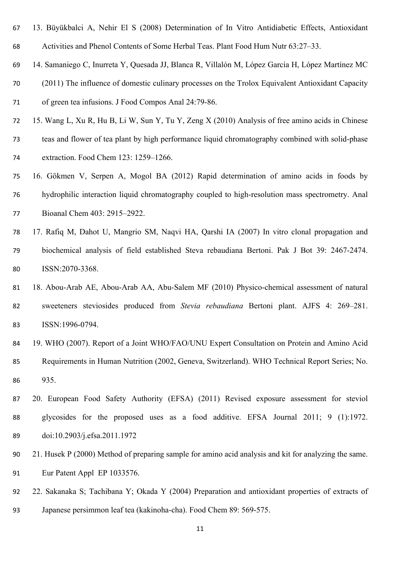- 13. Büyükbalci A, Nehir El S (2008) Determination of In Vitro Antidiabetic Effects, Antioxidant Activities and Phenol Contents of Some Herbal Teas. Plant Food Hum Nutr 63:27–33.
- 14. Samaniego C, Inurreta Y, Quesada JJ, Blanca R, Villalón M, López García H, López Martínez MC
- (2011) The influence of domestic culinary processes on the Trolox Equivalent Antioxidant Capacity of green tea infusions. J Food Compos Anal 24:79-86.
- 15. Wang L, Xu R, Hu B, Li W, Sun Y, Tu Y, Zeng X (2010) Analysis of free amino acids in Chinese teas and flower of tea plant by high performance liquid chromatography combined with solid-phase extraction. Food Chem 123: 1259–1266.
- 16. Gökmen V, Serpen A, Mogol BA (2012) Rapid determination of amino acids in foods by hydrophilic interaction liquid chromatography coupled to high-resolution mass spectrometry. Anal Bioanal Chem 403: 2915–2922.
- 17. Rafiq M, Dahot U, Mangrio SM, Naqvi HA, Qarshi IA (2007) In vitro clonal propagation and biochemical analysis of field established Steva rebaudiana Bertoni. Pak J Bot 39: 2467-2474. 80 ISSN:2070-3368.
- 18. Abou-Arab AE, Abou-Arab AA, Abu-Salem MF (2010) Physico-chemical assessment of natural sweeteners steviosides produced from *Stevia rebaudiana* Bertoni plant. AJFS 4: 269–281. ISSN:1996-0794.
- 19. WHO (2007). Report of a Joint WHO/FAO/UNU Expert Consultation on Protein and Amino Acid Requirements in Human Nutrition (2002, Geneva, Switzerland). WHO Technical Report Series; No. 935.
- 20. European Food Safety Authority (EFSA) (2011) Revised exposure assessment for steviol glycosides for the proposed uses as a food additive. EFSA Journal 2011; 9 (1):1972. doi:10.2903/j.efsa.2011.1972
- 21. Husek P (2000) Method of preparing sample for amino acid analysis and kit for analyzing the same. Eur Patent Appl EP 1033576.
- 22. Sakanaka S; Tachibana Y; Okada Y (2004) Preparation and antioxidant properties of extracts of
- Japanese persimmon leaf tea (kakinoha-cha). Food Chem 89: 569-575.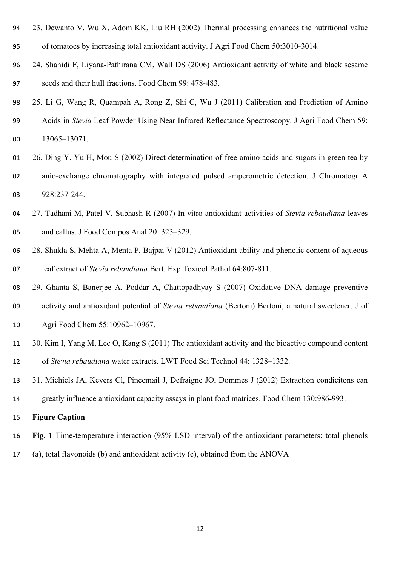- 23. Dewanto V, Wu X, Adom KK, Liu RH (2002) Thermal processing enhances the nutritional value of tomatoes by increasing total antioxidant activity. J Agri Food Chem 50:3010-3014.
- 24. Shahidi F, Liyana-Pathirana CM, Wall DS (2006) Antioxidant activity of white and black sesame seeds and their hull fractions. Food Chem 99: 478-483.

25. Li G, Wang R, Quampah A, Rong Z, Shi C, Wu J (2011) Calibration and Prediction of Amino

- Acids in *Stevia* Leaf Powder Using Near Infrared Reflectance Spectroscopy. J Agri Food Chem 59: 13065–13071.
- 26. Ding Y, Yu H, Mou S (2002) Direct determination of free amino acids and sugars in green tea by anio-exchange chromatography with integrated pulsed amperometric detection. J Chromatogr A 928:237-244.
- 27. Tadhani M, Patel V, Subhash R (2007) In vitro antioxidant activities of *Stevia rebaudiana* leaves and callus. J Food Compos Anal 20: 323–329.
- 28. Shukla S, Mehta A, Menta P, Bajpai V (2012) Antioxidant ability and phenolic content of aqueous leaf extract of *Stevia rebaudiana* Bert. Exp Toxicol Pathol 64:807-811.
- 29. Ghanta S, Banerjee A, Poddar A, Chattopadhyay S (2007) Oxidative DNA damage preventive activity and antioxidant potential of *Stevia rebaudiana* (Bertoni) Bertoni, a natural sweetener. J of Agri Food Chem 55:10962–10967.
- 30. Kim I, Yang M, Lee O, Kang S (2011) The antioxidant activity and the bioactive compound content of *Stevia rebaudiana* water extracts. LWT Food Sci Technol 44: 1328–1332.
- 31. Michiels JA, Kevers Cl, Pincemail J, Defraigne JO, Dommes J (2012) Extraction condicitons can
- greatly influence antioxidant capacity assays in plant food matrices. Food Chem 130:986-993.

# **Figure Caption**

- **Fig. 1** Time-temperature interaction (95% LSD interval) of the antioxidant parameters: total phenols
- (a), total flavonoids (b) and antioxidant activity (c), obtained from the ANOVA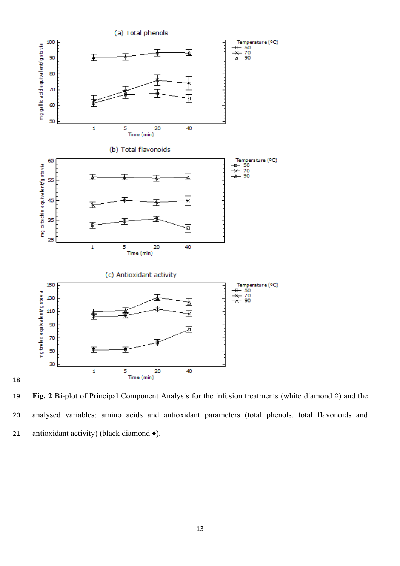

 **Fig. 2** Bi-plot of Principal Component Analysis for the infusion treatments (white diamond **◊**) and the analysed variables: amino acids and antioxidant parameters (total phenols, total flavonoids and antioxidant activity) (black diamond **♦**).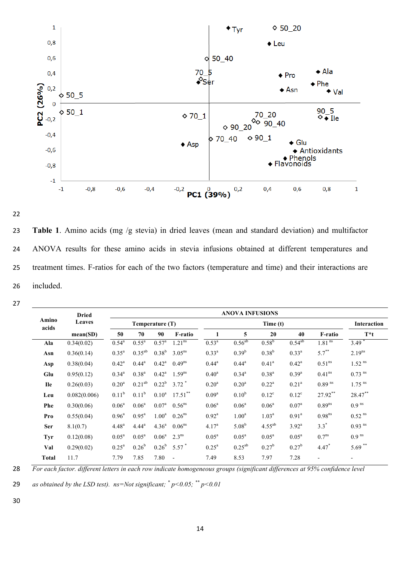



323 **Table 1**. Amino acids (mg /g stevia) in dried leaves (mean and standard deviation) and multifactor 324 ANOVA results for these amino acids in stevia infusions obtained at different temperatures and 325 treatment times. F-ratios for each of the two factors (temperature and time) and their interactions are 326 included.

327

| Amino<br>acids | <b>Dried</b><br><b>Leaves</b><br>mean(SD) | <b>ANOVA INFUSIONS</b> |                   |                   |                          |                   |                   |                   |                |                          |                          |  |
|----------------|-------------------------------------------|------------------------|-------------------|-------------------|--------------------------|-------------------|-------------------|-------------------|----------------|--------------------------|--------------------------|--|
|                |                                           | Temperature (T)        |                   |                   |                          |                   | Interaction       |                   |                |                          |                          |  |
|                |                                           | 50                     | 70                | 90                | <b>F-ratio</b>           | 1                 | 5                 | 20                | 40             | <b>F-ratio</b>           | $T^*t$                   |  |
| Ala            | 0.34(0.02)                                | $0.54^{a}$             | $0.55^{\text{a}}$ | $0.57^{\circ}$    | 1.21 <sup>ns</sup>       | $0.53^{a}$        | $0.56^{ab}$       | $0.58^{b}$        | $0.54^{ab}$    | $1.81$ <sup>ns</sup>     | 3.49                     |  |
| Asn            | 0.36(0.14)                                | $0.35^{\rm a}$         | $0.35^{ab}$       | $0.38^{b}$        | $3.05^{ns}$              | $0.33^{a}$        | $0.39^{b}$        | $0.38^{b}$        | $0.33^{a}$     | $5.7***$                 | $2.19^{ns}$              |  |
| Asp            | 0.38(0.04)                                | $0.42^{\rm a}$         | $0.44^{\rm a}$    | $0.42^{\rm a}$    | $0.49^{ns}$              | $0.44^{\rm a}$    | $0.44^{\rm a}$    | $0.41^{\rm a}$    | $0.42^{\rm a}$ | $0.51$ <sup>ns</sup>     | $1.52$ <sup>ns</sup>     |  |
| Glu            | 0.95(0.12)                                | $0.34^{a}$             | 0.38 <sup>a</sup> | $0.42^{\rm a}$    | $1.59^{ns}$              | $0.40^{\rm a}$    | $0.34^{a}$        | 0.38 <sup>a</sup> | $0.39^{a}$     | 0.41 <sup>ns</sup>       | $0.73$ <sup>ns</sup>     |  |
| <b>Ile</b>     | 0.26(0.03)                                | 0.20 <sup>a</sup>      | $0.21^{ab}$       | $0.22^b$          | $3.72$ *                 | 0.20 <sup>a</sup> | 0.20 <sup>a</sup> | $0.22^{\rm a}$    | $0.21^{\rm a}$ | $0.89$ <sup>ns</sup>     | $1.75$ <sup>ns</sup>     |  |
| Leu            | 0.082(0.006)                              | $0.11^{b}$             | $0.11^{b}$        | 0.10 <sup>a</sup> | $17.51***$               | $0.09^{\rm a}$    | 0.10 <sup>b</sup> | $0.12^{\circ}$    | $0.12^{\circ}$ | 27.92**                  | 28.47**                  |  |
| <b>Phe</b>     | 0.30(0.06)                                | 0.06 <sup>a</sup>      | 0.06 <sup>a</sup> | $0.07^{\rm a}$    | $0.56^{\text{ns}}$       | $0.06^{\rm a}$    | $0.06^a$          | $0.06^{a}$        | $0.07^{\rm a}$ | $0.89^{ns}$              | $0.9$ <sup>ns</sup>      |  |
| Pro            | 0.55(0.04)                                | $0.96^{\rm a}$         | $0.95^{\text{a}}$ | 1.00 <sup>a</sup> | $0.26$ <sup>ns</sup>     | $0.92^{\text{a}}$ | 1.00 <sup>a</sup> | $1.03^{\rm a}$    | $0.91^{\rm a}$ | 0.98 <sup>ns</sup>       | $0.52$ <sup>ns</sup>     |  |
| <b>Ser</b>     | 8.1(0.7)                                  | $4.48^{a}$             | $4.44^a$          | $4.36^{a}$        | $0.06^{ns}$              | 4.17 <sup>a</sup> | $5.08^{b}$        | $4.55^{ab}$       | $3.92^{\rm a}$ | $3.3*$                   | $0.93$ <sup>ns</sup>     |  |
| Tyr            | 0.12(0.08)                                | $0.05^{\rm a}$         | 0.05 <sup>a</sup> | $0.06^{\rm a}$    | $2.3^{ns}$               | $0.05^{\rm a}$    | $0.05^{\rm a}$    | $0.05^{\text{a}}$ | $0.05^{\rm a}$ | 0.7 <sup>ns</sup>        | $0.9$ <sup>ns</sup>      |  |
| Val            | 0.29(0.02)                                | 0.25 <sup>a</sup>      | $0.26^{b}$        | $0.26^{b}$        | $5.57*$                  | $0.25^{\text{a}}$ | $0.25^{ab}$       | $0.27^{b}$        | $0.27^{\rm b}$ | $4.47*$                  | $5.69$ **                |  |
| <b>Total</b>   | 11.7                                      | 7.79                   | 7.85              | 7.80              | $\overline{\phantom{a}}$ | 7.49              | 8.53              | 7.97              | 7.28           | $\overline{\phantom{a}}$ | $\overline{\phantom{0}}$ |  |

328 *For each factor. different letters in each row indicate homogeneous groups (significant differences at 95% confidence level* 

**29** *as obtained by the LSD test). ns=Not significant;*  $*$   $p$  < 0.05;  $*$   $*$   $p$  < 0.01